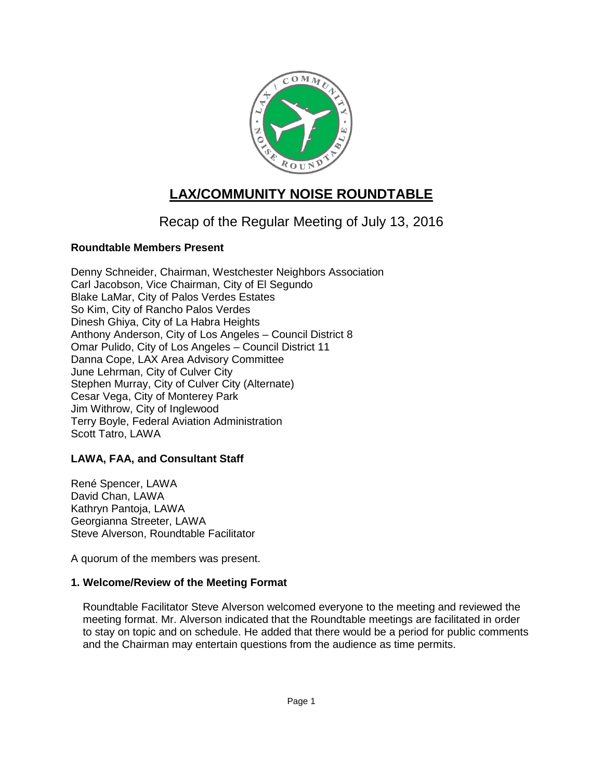

# **LAX/COMMUNITY NOISE ROUNDTABLE**

## Recap of the Regular Meeting of July 13, 2016

## **Roundtable Members Present**

Denny Schneider, Chairman, Westchester Neighbors Association Carl Jacobson, Vice Chairman, City of El Segundo Blake LaMar, City of Palos Verdes Estates So Kim, City of Rancho Palos Verdes Dinesh Ghiya, City of La Habra Heights Anthony Anderson, City of Los Angeles – Council District 8 Omar Pulido, City of Los Angeles – Council District 11 Danna Cope, LAX Area Advisory Committee June Lehrman, City of Culver City Stephen Murray, City of Culver City (Alternate) Cesar Vega, City of Monterey Park Jim Withrow, City of Inglewood Terry Boyle, Federal Aviation Administration Scott Tatro, LAWA

## **LAWA, FAA, and Consultant Staff**

René Spencer, LAWA David Chan, LAWA Kathryn Pantoja, LAWA Georgianna Streeter, LAWA Steve Alverson, Roundtable Facilitator

A quorum of the members was present.

## **1. Welcome/Review of the Meeting Format**

Roundtable Facilitator Steve Alverson welcomed everyone to the meeting and reviewed the meeting format. Mr. Alverson indicated that the Roundtable meetings are facilitated in order to stay on topic and on schedule. He added that there would be a period for public comments and the Chairman may entertain questions from the audience as time permits.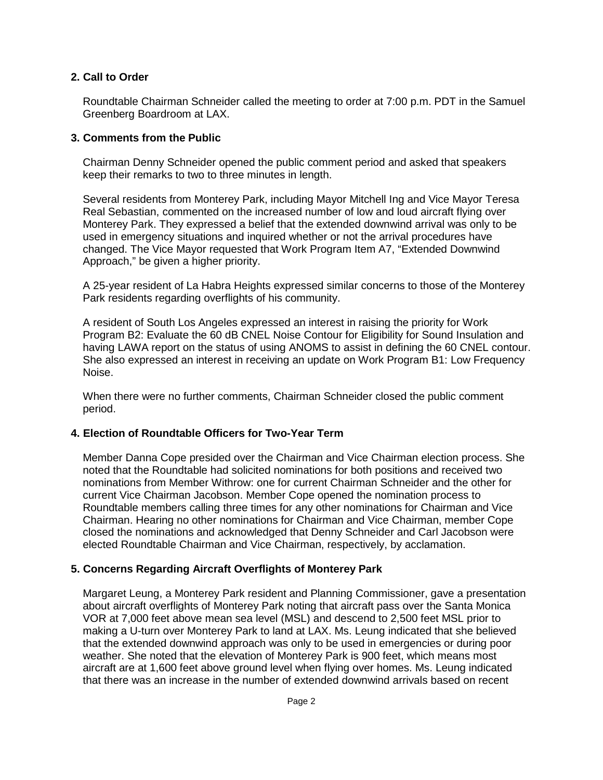#### **2. Call to Order**

Roundtable Chairman Schneider called the meeting to order at 7:00 p.m. PDT in the Samuel Greenberg Boardroom at LAX.

#### **3. Comments from the Public**

Chairman Denny Schneider opened the public comment period and asked that speakers keep their remarks to two to three minutes in length.

Several residents from Monterey Park, including Mayor Mitchell Ing and Vice Mayor Teresa Real Sebastian, commented on the increased number of low and loud aircraft flying over Monterey Park. They expressed a belief that the extended downwind arrival was only to be used in emergency situations and inquired whether or not the arrival procedures have changed. The Vice Mayor requested that Work Program Item A7, "Extended Downwind Approach," be given a higher priority.

A 25-year resident of La Habra Heights expressed similar concerns to those of the Monterey Park residents regarding overflights of his community.

A resident of South Los Angeles expressed an interest in raising the priority for Work Program B2: Evaluate the 60 dB CNEL Noise Contour for Eligibility for Sound Insulation and having LAWA report on the status of using ANOMS to assist in defining the 60 CNEL contour. She also expressed an interest in receiving an update on Work Program B1: Low Frequency Noise.

When there were no further comments, Chairman Schneider closed the public comment period.

## **4. Election of Roundtable Officers for Two-Year Term**

Member Danna Cope presided over the Chairman and Vice Chairman election process. She noted that the Roundtable had solicited nominations for both positions and received two nominations from Member Withrow: one for current Chairman Schneider and the other for current Vice Chairman Jacobson. Member Cope opened the nomination process to Roundtable members calling three times for any other nominations for Chairman and Vice Chairman. Hearing no other nominations for Chairman and Vice Chairman, member Cope closed the nominations and acknowledged that Denny Schneider and Carl Jacobson were elected Roundtable Chairman and Vice Chairman, respectively, by acclamation.

## **5. Concerns Regarding Aircraft Overflights of Monterey Park**

Margaret Leung, a Monterey Park resident and Planning Commissioner, gave a presentation about aircraft overflights of Monterey Park noting that aircraft pass over the Santa Monica VOR at 7,000 feet above mean sea level (MSL) and descend to 2,500 feet MSL prior to making a U-turn over Monterey Park to land at LAX. Ms. Leung indicated that she believed that the extended downwind approach was only to be used in emergencies or during poor weather. She noted that the elevation of Monterey Park is 900 feet, which means most aircraft are at 1,600 feet above ground level when flying over homes. Ms. Leung indicated that there was an increase in the number of extended downwind arrivals based on recent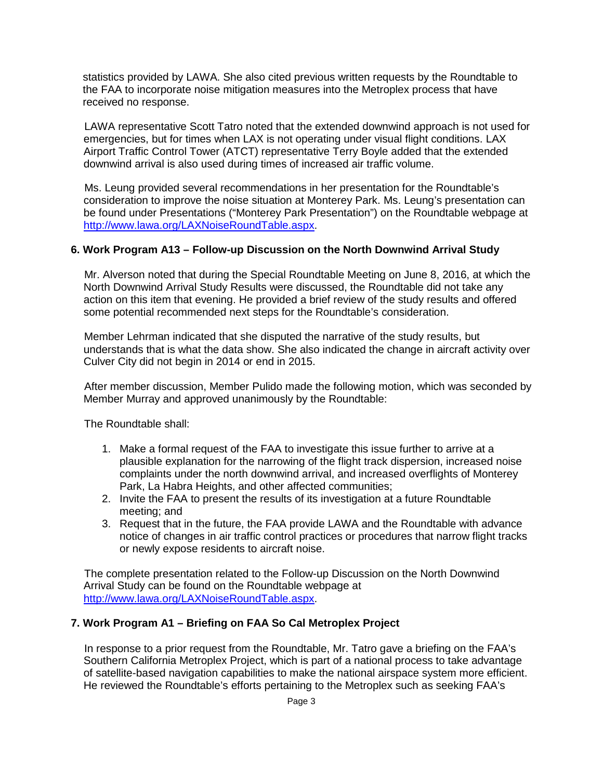statistics provided by LAWA. She also cited previous written requests by the Roundtable to the FAA to incorporate noise mitigation measures into the Metroplex process that have received no response.

LAWA representative Scott Tatro noted that the extended downwind approach is not used for emergencies, but for times when LAX is not operating under visual flight conditions. LAX Airport Traffic Control Tower (ATCT) representative Terry Boyle added that the extended downwind arrival is also used during times of increased air traffic volume.

Ms. Leung provided several recommendations in her presentation for the Roundtable's consideration to improve the noise situation at Monterey Park. Ms. Leung's presentation can be found under Presentations ("Monterey Park Presentation") on the Roundtable webpage at [http://www.lawa.org/LAXNoiseRoundTable.aspx.](http://www.lawa.org/LAXNoiseRoundTable.aspx)

#### **6. Work Program A13 – Follow-up Discussion on the North Downwind Arrival Study**

Mr. Alverson noted that during the Special Roundtable Meeting on June 8, 2016, at which the North Downwind Arrival Study Results were discussed, the Roundtable did not take any action on this item that evening. He provided a brief review of the study results and offered some potential recommended next steps for the Roundtable's consideration.

Member Lehrman indicated that she disputed the narrative of the study results, but understands that is what the data show. She also indicated the change in aircraft activity over Culver City did not begin in 2014 or end in 2015.

After member discussion, Member Pulido made the following motion, which was seconded by Member Murray and approved unanimously by the Roundtable:

The Roundtable shall:

- 1. Make a formal request of the FAA to investigate this issue further to arrive at a plausible explanation for the narrowing of the flight track dispersion, increased noise complaints under the north downwind arrival, and increased overflights of Monterey Park, La Habra Heights, and other affected communities;
- 2. Invite the FAA to present the results of its investigation at a future Roundtable meeting; and
- 3. Request that in the future, the FAA provide LAWA and the Roundtable with advance notice of changes in air traffic control practices or procedures that narrow flight tracks or newly expose residents to aircraft noise.

The complete presentation related to the Follow-up Discussion on the North Downwind Arrival Study can be found on the Roundtable webpage at [http://www.lawa.org/LAXNoiseRoundTable.aspx.](http://www.lawa.org/LAXNoiseRoundTable.aspx)

#### **7. Work Program A1 – Briefing on FAA So Cal Metroplex Project**

In response to a prior request from the Roundtable, Mr. Tatro gave a briefing on the FAA's Southern California Metroplex Project, which is part of a national process to take advantage of satellite-based navigation capabilities to make the national airspace system more efficient. He reviewed the Roundtable's efforts pertaining to the Metroplex such as seeking FAA's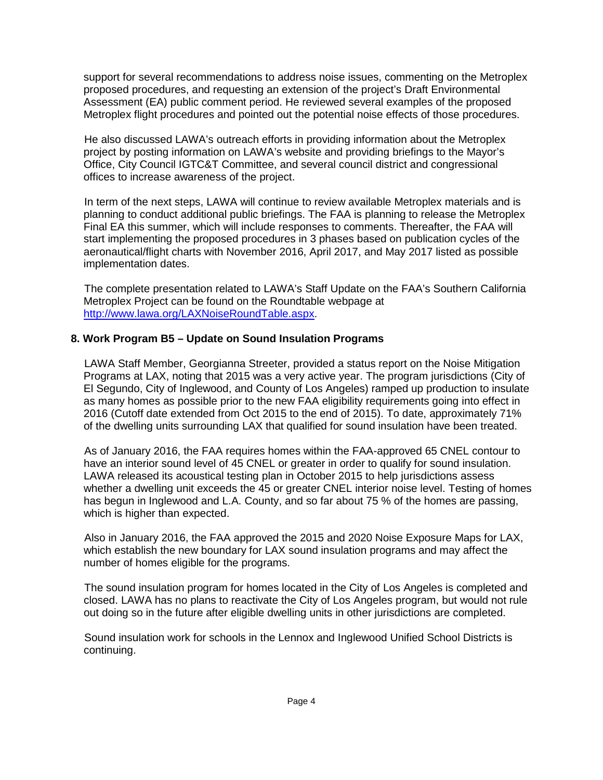support for several recommendations to address noise issues, commenting on the Metroplex proposed procedures, and requesting an extension of the project's Draft Environmental Assessment (EA) public comment period. He reviewed several examples of the proposed Metroplex flight procedures and pointed out the potential noise effects of those procedures.

He also discussed LAWA's outreach efforts in providing information about the Metroplex project by posting information on LAWA's website and providing briefings to the Mayor's Office, City Council IGTC&T Committee, and several council district and congressional offices to increase awareness of the project.

In term of the next steps, LAWA will continue to review available Metroplex materials and is planning to conduct additional public briefings. The FAA is planning to release the Metroplex Final EA this summer, which will include responses to comments. Thereafter, the FAA will start implementing the proposed procedures in 3 phases based on publication cycles of the aeronautical/flight charts with November 2016, April 2017, and May 2017 listed as possible implementation dates.

The complete presentation related to LAWA's Staff Update on the FAA's Southern California Metroplex Project can be found on the Roundtable webpage at [http://www.lawa.org/LAXNoiseRoundTable.aspx.](http://www.lawa.org/LAXNoiseRoundTable.aspx)

#### **8. Work Program B5 – Update on Sound Insulation Programs**

LAWA Staff Member, Georgianna Streeter, provided a status report on the Noise Mitigation Programs at LAX, noting that 2015 was a very active year. The program jurisdictions (City of El Segundo, City of Inglewood, and County of Los Angeles) ramped up production to insulate as many homes as possible prior to the new FAA eligibility requirements going into effect in 2016 (Cutoff date extended from Oct 2015 to the end of 2015). To date, approximately 71% of the dwelling units surrounding LAX that qualified for sound insulation have been treated.

As of January 2016, the FAA requires homes within the FAA-approved 65 CNEL contour to have an interior sound level of 45 CNEL or greater in order to qualify for sound insulation. LAWA released its acoustical testing plan in October 2015 to help jurisdictions assess whether a dwelling unit exceeds the 45 or greater CNEL interior noise level. Testing of homes has begun in Inglewood and L.A. County, and so far about 75 % of the homes are passing, which is higher than expected.

Also in January 2016, the FAA approved the 2015 and 2020 Noise Exposure Maps for LAX, which establish the new boundary for LAX sound insulation programs and may affect the number of homes eligible for the programs.

The sound insulation program for homes located in the City of Los Angeles is completed and closed. LAWA has no plans to reactivate the City of Los Angeles program, but would not rule out doing so in the future after eligible dwelling units in other jurisdictions are completed.

Sound insulation work for schools in the Lennox and Inglewood Unified School Districts is continuing.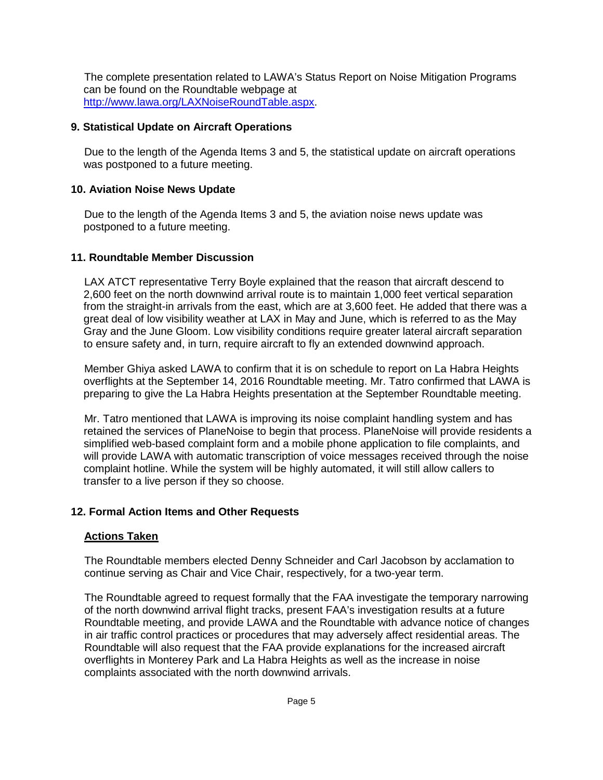The complete presentation related to LAWA's Status Report on Noise Mitigation Programs can be found on the Roundtable webpage at [http://www.lawa.org/LAXNoiseRoundTable.aspx.](http://www.lawa.org/LAXNoiseRoundTable.aspx)

### **9. Statistical Update on Aircraft Operations**

Due to the length of the Agenda Items 3 and 5, the statistical update on aircraft operations was postponed to a future meeting.

#### **10. Aviation Noise News Update**

Due to the length of the Agenda Items 3 and 5, the aviation noise news update was postponed to a future meeting.

#### **11. Roundtable Member Discussion**

LAX ATCT representative Terry Boyle explained that the reason that aircraft descend to 2,600 feet on the north downwind arrival route is to maintain 1,000 feet vertical separation from the straight-in arrivals from the east, which are at 3,600 feet. He added that there was a great deal of low visibility weather at LAX in May and June, which is referred to as the May Gray and the June Gloom. Low visibility conditions require greater lateral aircraft separation to ensure safety and, in turn, require aircraft to fly an extended downwind approach.

Member Ghiya asked LAWA to confirm that it is on schedule to report on La Habra Heights overflights at the September 14, 2016 Roundtable meeting. Mr. Tatro confirmed that LAWA is preparing to give the La Habra Heights presentation at the September Roundtable meeting.

Mr. Tatro mentioned that LAWA is improving its noise complaint handling system and has retained the services of PlaneNoise to begin that process. PlaneNoise will provide residents a simplified web-based complaint form and a mobile phone application to file complaints, and will provide LAWA with automatic transcription of voice messages received through the noise complaint hotline. While the system will be highly automated, it will still allow callers to transfer to a live person if they so choose.

## **12. Formal Action Items and Other Requests**

#### **Actions Taken**

The Roundtable members elected Denny Schneider and Carl Jacobson by acclamation to continue serving as Chair and Vice Chair, respectively, for a two-year term.

The Roundtable agreed to request formally that the FAA investigate the temporary narrowing of the north downwind arrival flight tracks, present FAA's investigation results at a future Roundtable meeting, and provide LAWA and the Roundtable with advance notice of changes in air traffic control practices or procedures that may adversely affect residential areas. The Roundtable will also request that the FAA provide explanations for the increased aircraft overflights in Monterey Park and La Habra Heights as well as the increase in noise complaints associated with the north downwind arrivals.